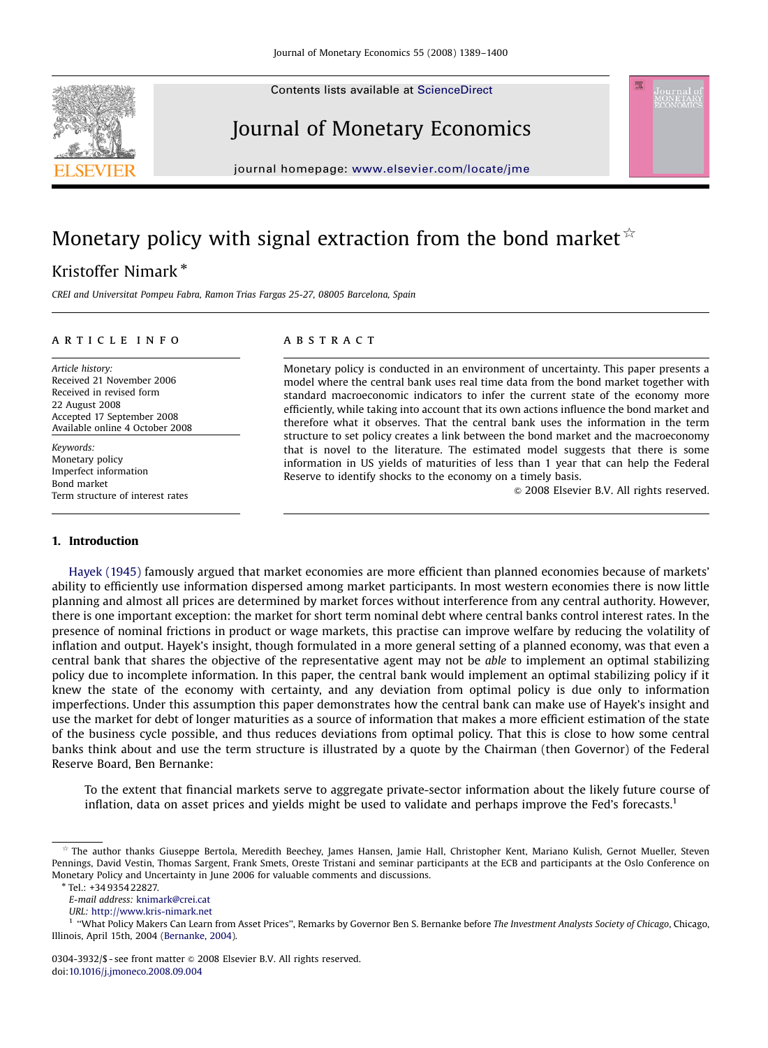Contents lists available at [ScienceDirect](www.sciencedirect.com/science/journal/monec)





journal homepage: <www.elsevier.com/locate/jme>

# Monetary policy with signal extraction from the bond market  $\mathbb{R}$

### Kristoffer Nimark  $^{\ast}$

CREI and Universitat Pompeu Fabra, Ramon Trias Fargas 25-27, 08005 Barcelona, Spain

#### article info

Article history: Received 21 November 2006 Received in revised form 22 August 2008 Accepted 17 September 2008 Available online 4 October 2008

Keywords: Monetary policy Imperfect information Bond market Term structure of interest rates

#### 1. Introduction

#### **ABSTRACT**

Monetary policy is conducted in an environment of uncertainty. This paper presents a model where the central bank uses real time data from the bond market together with standard macroeconomic indicators to infer the current state of the economy more efficiently, while taking into account that its own actions influence the bond market and therefore what it observes. That the central bank uses the information in the term structure to set policy creates a link between the bond market and the macroeconomy that is novel to the literature. The estimated model suggests that there is some information in US yields of maturities of less than 1 year that can help the Federal Reserve to identify shocks to the economy on a timely basis.

 $\odot$  2008 Elsevier B.V. All rights reserved.

[Hayek \(1945\)](#page--1-0) famously argued that market economies are more efficient than planned economies because of markets' ability to efficiently use information dispersed among market participants. In most western economies there is now little planning and almost all prices are determined by market forces without interference from any central authority. However, there is one important exception: the market for short term nominal debt where central banks control interest rates. In the presence of nominal frictions in product or wage markets, this practise can improve welfare by reducing the volatility of inflation and output. Hayek's insight, though formulated in a more general setting of a planned economy, was that even a central bank that shares the objective of the representative agent may not be able to implement an optimal stabilizing policy due to incomplete information. In this paper, the central bank would implement an optimal stabilizing policy if it knew the state of the economy with certainty, and any deviation from optimal policy is due only to information imperfections. Under this assumption this paper demonstrates how the central bank can make use of Hayek's insight and use the market for debt of longer maturities as a source of information that makes a more efficient estimation of the state of the business cycle possible, and thus reduces deviations from optimal policy. That this is close to how some central banks think about and use the term structure is illustrated by a quote by the Chairman (then Governor) of the Federal Reserve Board, Ben Bernanke:

To the extent that financial markets serve to aggregate private-sector information about the likely future course of inflation, data on asset prices and yields might be used to validate and perhaps improve the Fed's forecasts.<sup>1</sup>

Tel.: +34 9354 22827.

The author thanks Giuseppe Bertola, Meredith Beechey, James Hansen, Jamie Hall, Christopher Kent, Mariano Kulish, Gernot Mueller, Steven Pennings, David Vestin, Thomas Sargent, Frank Smets, Oreste Tristani and seminar participants at the ECB and participants at the Oslo Conference on Monetary Policy and Uncertainty in June 2006 for valuable comments and discussions. -

E-mail address: [knimark@crei.cat](mailto:knimark@crei.cat)

URL: <http://www.kris-nimark.net>

<sup>&</sup>lt;sup>1</sup> "What Policy Makers Can Learn from Asset Prices", Remarks by Governor Ben S. Bernanke before The Investment Analysts Society of Chicago, Chicago, Illinois, April 15th, 2004 [\(Bernanke, 2004](#page--1-0)).

<sup>0304-3932/\$ -</sup> see front matter  $\circ$  2008 Elsevier B.V. All rights reserved. doi:[10.1016/j.jmoneco.2008.09.004](dx.doi.org/10.1016/j.jmoneco.2008.09.004)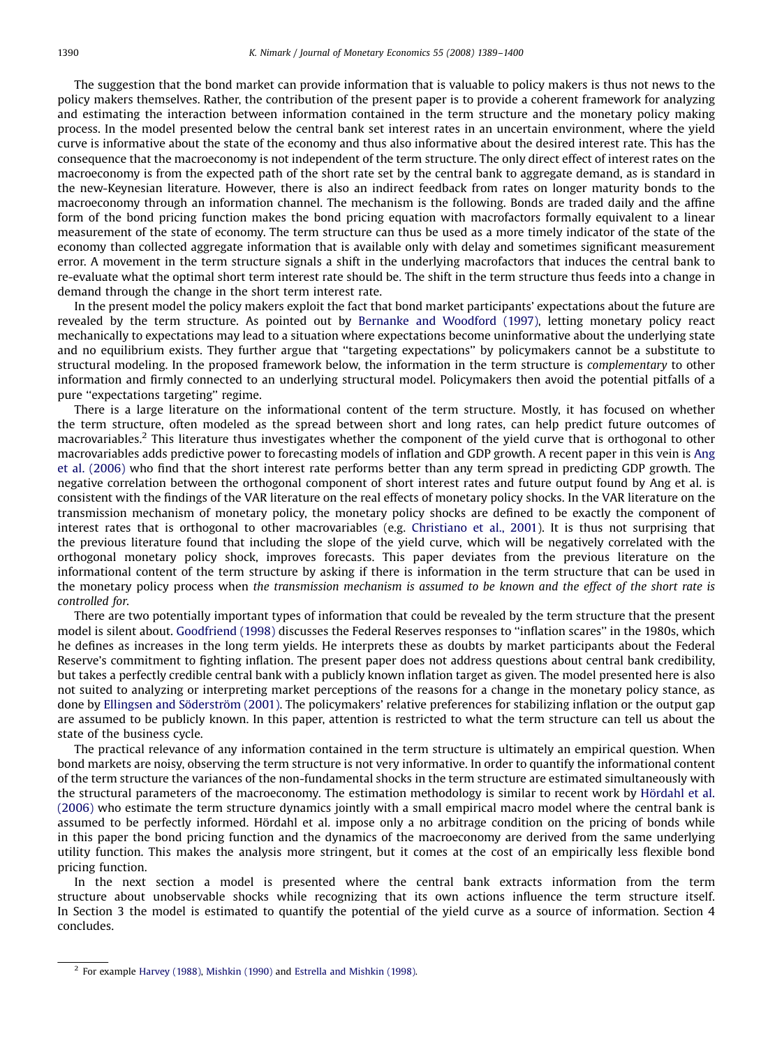The suggestion that the bond market can provide information that is valuable to policy makers is thus not news to the policy makers themselves. Rather, the contribution of the present paper is to provide a coherent framework for analyzing and estimating the interaction between information contained in the term structure and the monetary policy making process. In the model presented below the central bank set interest rates in an uncertain environment, where the yield curve is informative about the state of the economy and thus also informative about the desired interest rate. This has the consequence that the macroeconomy is not independent of the term structure. The only direct effect of interest rates on the macroeconomy is from the expected path of the short rate set by the central bank to aggregate demand, as is standard in the new-Keynesian literature. However, there is also an indirect feedback from rates on longer maturity bonds to the macroeconomy through an information channel. The mechanism is the following. Bonds are traded daily and the affine form of the bond pricing function makes the bond pricing equation with macrofactors formally equivalent to a linear measurement of the state of economy. The term structure can thus be used as a more timely indicator of the state of the economy than collected aggregate information that is available only with delay and sometimes significant measurement error. A movement in the term structure signals a shift in the underlying macrofactors that induces the central bank to re-evaluate what the optimal short term interest rate should be. The shift in the term structure thus feeds into a change in demand through the change in the short term interest rate.

In the present model the policy makers exploit the fact that bond market participants' expectations about the future are revealed by the term structure. As pointed out by [Bernanke and Woodford \(1997\),](#page--1-0) letting monetary policy react mechanically to expectations may lead to a situation where expectations become uninformative about the underlying state and no equilibrium exists. They further argue that ''targeting expectations'' by policymakers cannot be a substitute to structural modeling. In the proposed framework below, the information in the term structure is complementary to other information and firmly connected to an underlying structural model. Policymakers then avoid the potential pitfalls of a pure ''expectations targeting'' regime.

There is a large literature on the informational content of the term structure. Mostly, it has focused on whether the term structure, often modeled as the spread between short and long rates, can help predict future outcomes of macrovariables.<sup>2</sup> This literature thus investigates whether the component of the yield curve that is orthogonal to other macrovariables adds predictive power to forecasting models of inflation and GDP growth. A recent paper in this vein is [Ang](#page--1-0) [et al. \(2006\)](#page--1-0) who find that the short interest rate performs better than any term spread in predicting GDP growth. The negative correlation between the orthogonal component of short interest rates and future output found by Ang et al. is consistent with the findings of the VAR literature on the real effects of monetary policy shocks. In the VAR literature on the transmission mechanism of monetary policy, the monetary policy shocks are defined to be exactly the component of interest rates that is orthogonal to other macrovariables (e.g. [Christiano et al., 2001](#page--1-0)). It is thus not surprising that the previous literature found that including the slope of the yield curve, which will be negatively correlated with the orthogonal monetary policy shock, improves forecasts. This paper deviates from the previous literature on the informational content of the term structure by asking if there is information in the term structure that can be used in the monetary policy process when the transmission mechanism is assumed to be known and the effect of the short rate is controlled for.

There are two potentially important types of information that could be revealed by the term structure that the present model is silent about. [Goodfriend \(1998\)](#page--1-0) discusses the Federal Reserves responses to ''inflation scares'' in the 1980s, which he defines as increases in the long term yields. He interprets these as doubts by market participants about the Federal Reserve's commitment to fighting inflation. The present paper does not address questions about central bank credibility, but takes a perfectly credible central bank with a publicly known inflation target as given. The model presented here is also not suited to analyzing or interpreting market perceptions of the reasons for a change in the monetary policy stance, as done by Ellingsen and Söderström (2001). The policymakers' relative preferences for stabilizing inflation or the output gap are assumed to be publicly known. In this paper, attention is restricted to what the term structure can tell us about the state of the business cycle.

The practical relevance of any information contained in the term structure is ultimately an empirical question. When bond markets are noisy, observing the term structure is not very informative. In order to quantify the informational content of the term structure the variances of the non-fundamental shocks in the term structure are estimated simultaneously with the structural parameters of the macroeconomy. The estimation methodology is similar to recent work by Hö[rdahl et al.](#page--1-0) [\(2006\)](#page--1-0) who estimate the term structure dynamics jointly with a small empirical macro model where the central bank is assumed to be perfectly informed. Hördahl et al. impose only a no arbitrage condition on the pricing of bonds while in this paper the bond pricing function and the dynamics of the macroeconomy are derived from the same underlying utility function. This makes the analysis more stringent, but it comes at the cost of an empirically less flexible bond pricing function.

In the next section a model is presented where the central bank extracts information from the term structure about unobservable shocks while recognizing that its own actions influence the term structure itself. In Section 3 the model is estimated to quantify the potential of the yield curve as a source of information. Section 4 concludes.

<sup>&</sup>lt;sup>2</sup> For example [Harvey \(1988\),](#page--1-0) [Mishkin \(1990\)](#page--1-0) and [Estrella and Mishkin \(1998\).](#page--1-0)